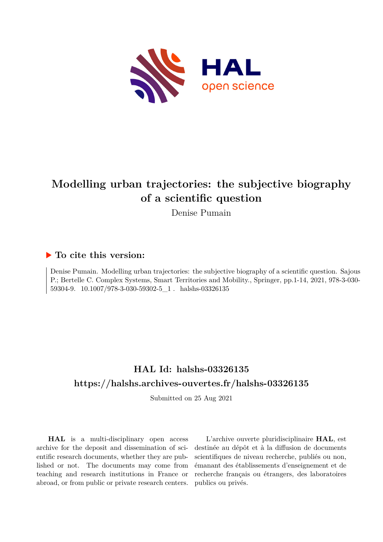

# **Modelling urban trajectories: the subjective biography of a scientific question**

Denise Pumain

## **To cite this version:**

Denise Pumain. Modelling urban trajectories: the subjective biography of a scientific question. Sajous P.; Bertelle C. Complex Systems, Smart Territories and Mobility., Springer, pp.1-14, 2021, 978-3-030- 59304-9.  $10.1007/978$ -3-030-59302-5\_1 . halshs-03326135

## **HAL Id: halshs-03326135 <https://halshs.archives-ouvertes.fr/halshs-03326135>**

Submitted on 25 Aug 2021

**HAL** is a multi-disciplinary open access archive for the deposit and dissemination of scientific research documents, whether they are published or not. The documents may come from teaching and research institutions in France or abroad, or from public or private research centers.

L'archive ouverte pluridisciplinaire **HAL**, est destinée au dépôt et à la diffusion de documents scientifiques de niveau recherche, publiés ou non, émanant des établissements d'enseignement et de recherche français ou étrangers, des laboratoires publics ou privés.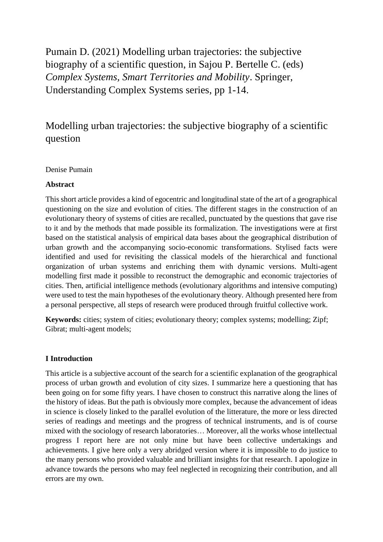Pumain D. (2021) Modelling urban trajectories: the subjective biography of a scientific question, in Sajou P. Bertelle C. (eds) *Complex Systems, Smart Territories and Mobility*. Springer, Understanding Complex Systems series, pp 1-14.

## Modelling urban trajectories: the subjective biography of a scientific question

### Denise Pumain

#### **Abstract**

This short article provides a kind of egocentric and longitudinal state of the art of a geographical questioning on the size and evolution of cities. The different stages in the construction of an evolutionary theory of systems of cities are recalled, punctuated by the questions that gave rise to it and by the methods that made possible its formalization. The investigations were at first based on the statistical analysis of empirical data bases about the geographical distribution of urban growth and the accompanying socio-economic transformations. Stylised facts were identified and used for revisiting the classical models of the hierarchical and functional organization of urban systems and enriching them with dynamic versions. Multi-agent modelling first made it possible to reconstruct the demographic and economic trajectories of cities. Then, artificial intelligence methods (evolutionary algorithms and intensive computing) were used to test the main hypotheses of the evolutionary theory. Although presented here from a personal perspective, all steps of research were produced through fruitful collective work.

**Keywords:** cities; system of cities; evolutionary theory; complex systems; modelling; Zipf; Gibrat; multi-agent models;

#### **I Introduction**

This article is a subjective account of the search for a scientific explanation of the geographical process of urban growth and evolution of city sizes. I summarize here a questioning that has been going on for some fifty years. I have chosen to construct this narrative along the lines of the history of ideas. But the path is obviously more complex, because the advancement of ideas in science is closely linked to the parallel evolution of the litterature, the more or less directed series of readings and meetings and the progress of technical instruments, and is of course mixed with the sociology of research laboratories… Moreover, all the works whose intellectual progress I report here are not only mine but have been collective undertakings and achievements. I give here only a very abridged version where it is impossible to do justice to the many persons who provided valuable and brilliant insights for that research. I apologize in advance towards the persons who may feel neglected in recognizing their contribution, and all errors are my own.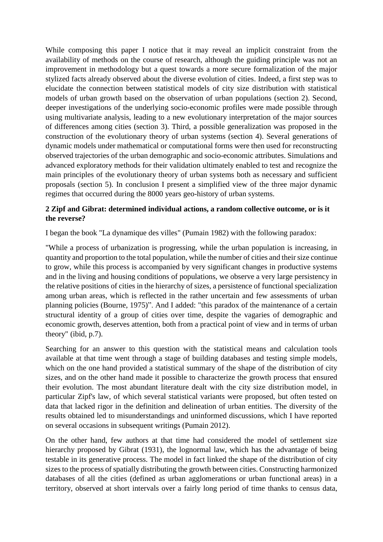While composing this paper I notice that it may reveal an implicit constraint from the availability of methods on the course of research, although the guiding principle was not an improvement in methodology but a quest towards a more secure formalization of the major stylized facts already observed about the diverse evolution of cities. Indeed, a first step was to elucidate the connection between statistical models of city size distribution with statistical models of urban growth based on the observation of urban populations (section 2). Second, deeper investigations of the underlying socio-economic profiles were made possible through using multivariate analysis, leading to a new evolutionary interpretation of the major sources of differences among cities (section 3). Third, a possible generalization was proposed in the construction of the evolutionary theory of urban systems (section 4). Several generations of dynamic models under mathematical or computational forms were then used for reconstructing observed trajectories of the urban demographic and socio-economic attributes. Simulations and advanced exploratory methods for their validation ultimately enabled to test and recognize the main principles of the evolutionary theory of urban systems both as necessary and sufficient proposals (section 5). In conclusion I present a simplified view of the three major dynamic regimes that occurred during the 8000 years geo-history of urban systems.

## **2 Zipf and Gibrat: determined individual actions, a random collective outcome, or is it the reverse?**

I began the book "La dynamique des villes" (Pumain 1982) with the following paradox:

"While a process of urbanization is progressing, while the urban population is increasing, in quantity and proportion to the total population, while the number of cities and their size continue to grow, while this process is accompanied by very significant changes in productive systems and in the living and housing conditions of populations, we observe a very large persistency in the relative positions of cities in the hierarchy of sizes, a persistence of functional specialization among urban areas, which is reflected in the rather uncertain and few assessments of urban planning policies (Bourne, 1975)". And I added: "this paradox of the maintenance of a certain structural identity of a group of cities over time, despite the vagaries of demographic and economic growth, deserves attention, both from a practical point of view and in terms of urban theory" (ibid, p.7).

Searching for an answer to this question with the statistical means and calculation tools available at that time went through a stage of building databases and testing simple models, which on the one hand provided a statistical summary of the shape of the distribution of city sizes, and on the other hand made it possible to characterize the growth process that ensured their evolution. The most abundant literature dealt with the city size distribution model, in particular Zipf's law, of which several statistical variants were proposed, but often tested on data that lacked rigor in the definition and delineation of urban entities. The diversity of the results obtained led to misunderstandings and uninformed discussions, which I have reported on several occasions in subsequent writings (Pumain 2012).

On the other hand, few authors at that time had considered the model of settlement size hierarchy proposed by Gibrat (1931), the lognormal law, which has the advantage of being testable in its generative process. The model in fact linked the shape of the distribution of city sizes to the process of spatially distributing the growth between cities. Constructing harmonized databases of all the cities (defined as urban agglomerations or urban functional areas) in a territory, observed at short intervals over a fairly long period of time thanks to census data,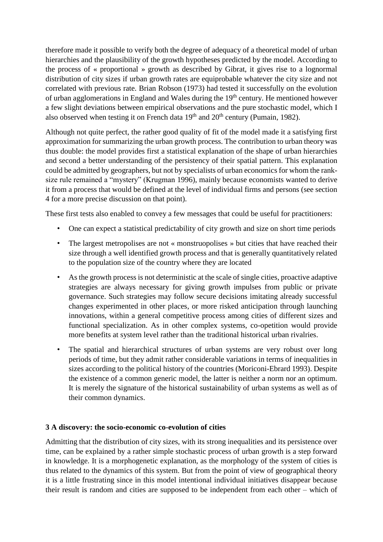therefore made it possible to verify both the degree of adequacy of a theoretical model of urban hierarchies and the plausibility of the growth hypotheses predicted by the model. According to the process of « proportional » growth as described by Gibrat, it gives rise to a lognormal distribution of city sizes if urban growth rates are equiprobable whatever the city size and not correlated with previous rate. Brian Robson (1973) had tested it successfully on the evolution of urban agglomerations in England and Wales during the  $19<sup>th</sup>$  century. He mentioned however a few slight deviations between empirical observations and the pure stochastic model, which I also observed when testing it on French data  $19<sup>th</sup>$  and  $20<sup>th</sup>$  century (Pumain, 1982).

Although not quite perfect, the rather good quality of fit of the model made it a satisfying first approximation for summarizing the urban growth process. The contribution to urban theory was thus double: the model provides first a statistical explanation of the shape of urban hierarchies and second a better understanding of the persistency of their spatial pattern. This explanation could be admitted by geographers, but not by specialists of urban economics for whom the ranksize rule remained a "mystery" (Krugman 1996), mainly because economists wanted to derive it from a process that would be defined at the level of individual firms and persons (see section 4 for a more precise discussion on that point).

These first tests also enabled to convey a few messages that could be useful for practitioners:

- One can expect a statistical predictability of city growth and size on short time periods
- The largest metropolises are not « monstruopolises » but cities that have reached their size through a well identified growth process and that is generally quantitatively related to the population size of the country where they are located
- As the growth process is not deterministic at the scale of single cities, proactive adaptive strategies are always necessary for giving growth impulses from public or private governance. Such strategies may follow secure decisions imitating already successful changes experimented in other places, or more risked anticipation through launching innovations, within a general competitive process among cities of different sizes and functional specialization. As in other complex systems, co-opetition would provide more benefits at system level rather than the traditional historical urban rivalries.
- The spatial and hierarchical structures of urban systems are very robust over long periods of time, but they admit rather considerable variations in terms of inequalities in sizes according to the political history of the countries (Moriconi-Ebrard 1993). Despite the existence of a common generic model, the latter is neither a norm nor an optimum. It is merely the signature of the historical sustainability of urban systems as well as of their common dynamics.

## **3 A discovery: the socio-economic co-evolution of cities**

Admitting that the distribution of city sizes, with its strong inequalities and its persistence over time, can be explained by a rather simple stochastic process of urban growth is a step forward in knowledge. It is a morphogenetic explanation, as the morphology of the system of cities is thus related to the dynamics of this system. But from the point of view of geographical theory it is a little frustrating since in this model intentional individual initiatives disappear because their result is random and cities are supposed to be independent from each other – which of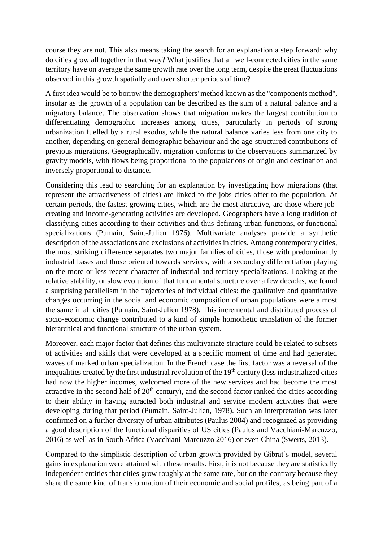course they are not. This also means taking the search for an explanation a step forward: why do cities grow all together in that way? What justifies that all well-connected cities in the same territory have on average the same growth rate over the long term, despite the great fluctuations observed in this growth spatially and over shorter periods of time?

A first idea would be to borrow the demographers' method known as the "components method", insofar as the growth of a population can be described as the sum of a natural balance and a migratory balance. The observation shows that migration makes the largest contribution to differentiating demographic increases among cities, particularly in periods of strong urbanization fuelled by a rural exodus, while the natural balance varies less from one city to another, depending on general demographic behaviour and the age-structured contributions of previous migrations. Geographically, migration conforms to the observations summarized by gravity models, with flows being proportional to the populations of origin and destination and inversely proportional to distance.

Considering this lead to searching for an explanation by investigating how migrations (that represent the attractiveness of cities) are linked to the jobs cities offer to the population. At certain periods, the fastest growing cities, which are the most attractive, are those where jobcreating and income-generating activities are developed. Geographers have a long tradition of classifying cities according to their activities and thus defining urban functions, or functional specializations (Pumain, Saint-Julien 1976). Multivariate analyses provide a synthetic description of the associations and exclusions of activities in cities. Among contemporary cities, the most striking difference separates two major families of cities, those with predominantly industrial bases and those oriented towards services, with a secondary differentiation playing on the more or less recent character of industrial and tertiary specializations. Looking at the relative stability, or slow evolution of that fundamental structure over a few decades, we found a surprising parallelism in the trajectories of individual cities: the qualitative and quantitative changes occurring in the social and economic composition of urban populations were almost the same in all cities (Pumain, Saint-Julien 1978). This incremental and distributed process of socio-economic change contributed to a kind of simple homothetic translation of the former hierarchical and functional structure of the urban system.

Moreover, each major factor that defines this multivariate structure could be related to subsets of activities and skills that were developed at a specific moment of time and had generated waves of marked urban specialization. In the French case the first factor was a reversal of the inequalities created by the first industrial revolution of the  $19<sup>th</sup>$  century (less industrialized cities had now the higher incomes, welcomed more of the new services and had become the most attractive in the second half of  $20<sup>th</sup>$  century), and the second factor ranked the cities according to their ability in having attracted both industrial and service modern activities that were developing during that period (Pumain, Saint-Julien, 1978). Such an interpretation was later confirmed on a further diversity of urban attributes (Paulus 2004) and recognized as providing a good description of the functional disparities of US cities (Paulus and Vacchiani-Marcuzzo, 2016) as well as in South Africa (Vacchiani-Marcuzzo 2016) or even China (Swerts, 2013).

Compared to the simplistic description of urban growth provided by Gibrat's model, several gains in explanation were attained with these results. First, it is not because they are statistically independent entities that cities grow roughly at the same rate, but on the contrary because they share the same kind of transformation of their economic and social profiles, as being part of a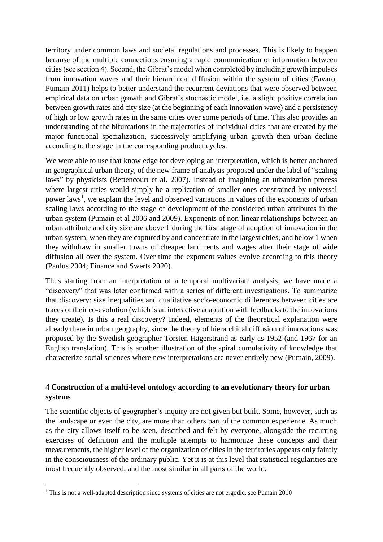territory under common laws and societal regulations and processes. This is likely to happen because of the multiple connections ensuring a rapid communication of information between cities(see section 4). Second, the Gibrat's model when completed by including growth impulses from innovation waves and their hierarchical diffusion within the system of cities (Favaro, Pumain 2011) helps to better understand the recurrent deviations that were observed between empirical data on urban growth and Gibrat's stochastic model, i.e. a slight positive correlation between growth rates and city size (at the beginning of each innovation wave) and a persistency of high or low growth rates in the same cities over some periods of time. This also provides an understanding of the bifurcations in the trajectories of individual cities that are created by the major functional specialization, successively amplifying urban growth then urban decline according to the stage in the corresponding product cycles.

We were able to use that knowledge for developing an interpretation, which is better anchored in geographical urban theory, of the new frame of analysis proposed under the label of "scaling laws" by physicists (Bettencourt et al. 2007). Instead of imagining an urbanization process where largest cities would simply be a replication of smaller ones constrained by universal power laws<sup>1</sup>, we explain the level and observed variations in values of the exponents of urban scaling laws according to the stage of development of the considered urban attributes in the urban system (Pumain et al 2006 and 2009). Exponents of non-linear relationships between an urban attribute and city size are above 1 during the first stage of adoption of innovation in the urban system, when they are captured by and concentrate in the largest cities, and below 1 when they withdraw in smaller towns of cheaper land rents and wages after their stage of wide diffusion all over the system. Over time the exponent values evolve according to this theory (Paulus 2004; Finance and Swerts 2020).

Thus starting from an interpretation of a temporal multivariate analysis, we have made a "discovery" that was later confirmed with a series of different investigations. To summarize that discovery: size inequalities and qualitative socio-economic differences between cities are traces of their co-evolution (which is an interactive adaptation with feedbacks to the innovations they create). Is this a real discovery? Indeed, elements of the theoretical explanation were already there in urban geography, since the theory of hierarchical diffusion of innovations was proposed by the Swedish geographer Torsten Hägerstrand as early as 1952 (and 1967 for an English translation). This is another illustration of the spiral cumulativity of knowledge that characterize social sciences where new interpretations are never entirely new (Pumain, 2009).

## **4 Construction of a multi-level ontology according to an evolutionary theory for urban systems**

The scientific objects of geographer's inquiry are not given but built. Some, however, such as the landscape or even the city, are more than others part of the common experience. As much as the city allows itself to be seen, described and felt by everyone, alongside the recurring exercises of definition and the multiple attempts to harmonize these concepts and their measurements, the higher level of the organization of cities in the territories appears only faintly in the consciousness of the ordinary public. Yet it is at this level that statistical regularities are most frequently observed, and the most similar in all parts of the world.

**.** 

<sup>1</sup> This is not a well-adapted description since systems of cities are not ergodic, see Pumain 2010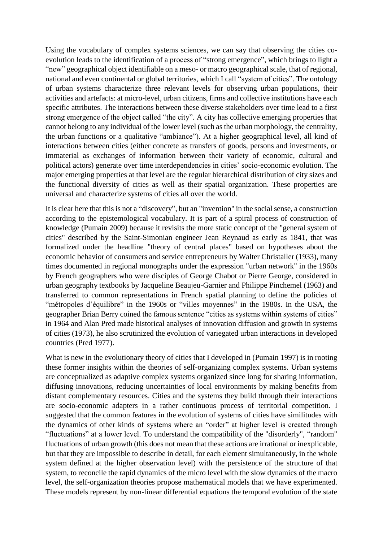Using the vocabulary of complex systems sciences, we can say that observing the cities coevolution leads to the identification of a process of "strong emergence", which brings to light a "new" geographical object identifiable on a meso- or macro geographical scale, that of regional, national and even continental or global territories, which I call "system of cities". The ontology of urban systems characterize three relevant levels for observing urban populations, their activities and artefacts: at micro-level, urban citizens, firms and collective institutions have each specific attributes. The interactions between these diverse stakeholders over time lead to a first strong emergence of the object called "the city". A city has collective emerging properties that cannot belong to any individual of the lower level (such as the urban morphology, the centrality, the urban functions or a qualitative "ambiance"). At a higher geographical level, all kind of interactions between cities (either concrete as transfers of goods, persons and investments, or immaterial as exchanges of information between their variety of economic, cultural and political actors) generate over time interdependencies in cities' socio-economic evolution. The major emerging properties at that level are the regular hierarchical distribution of city sizes and the functional diversity of cities as well as their spatial organization. These properties are universal and characterize systems of cities all over the world.

It is clear here that this is not a "discovery", but an "invention" in the social sense, a construction according to the epistemological vocabulary. It is part of a spiral process of construction of knowledge (Pumain 2009) because it revisits the more static concept of the "general system of cities" described by the Saint-Simonian engineer Jean Reynaud as early as 1841, that was formalized under the headline "theory of central places" based on hypotheses about the economic behavior of consumers and service entrepreneurs by Walter Christaller (1933), many times documented in regional monographs under the expression "urban network" in the 1960s by French geographers who were disciples of George Chabot or Pierre George, considered in urban geography textbooks by Jacqueline Beaujeu-Garnier and Philippe Pinchemel (1963) and transferred to common representations in French spatial planning to define the policies of "métropoles d'équilibre" in the 1960s or "villes moyennes" in the 1980s. In the USA, the geographer Brian Berry coined the famous sentence "cities as systems within systems of cities" in 1964 and Alan Pred made historical analyses of innovation diffusion and growth in systems of cities (1973), he also scrutinized the evolution of variegated urban interactions in developed countries (Pred 1977).

What is new in the evolutionary theory of cities that I developed in (Pumain 1997) is in rooting these former insights within the theories of self-organizing complex systems. Urban systems are conceptualized as adaptive complex systems organized since long for sharing information, diffusing innovations, reducing uncertainties of local environments by making benefits from distant complementary resources. Cities and the systems they build through their interactions are socio-economic adapters in a rather continuous process of territorial competition. I suggested that the common features in the evolution of systems of cities have similitudes with the dynamics of other kinds of systems where an "order" at higher level is created through "fluctuations" at a lower level. To understand the compatibility of the "disorderly", "random" fluctuations of urban growth (this does not mean that these actions are irrational or inexplicable, but that they are impossible to describe in detail, for each element simultaneously, in the whole system defined at the higher observation level) with the persistence of the structure of that system, to reconcile the rapid dynamics of the micro level with the slow dynamics of the macro level, the self-organization theories propose mathematical models that we have experimented. These models represent by non-linear differential equations the temporal evolution of the state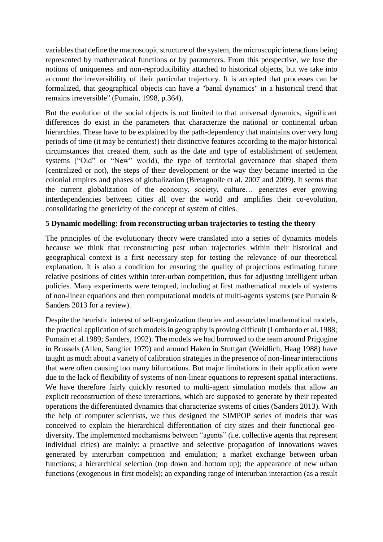variables that define the macroscopic structure of the system, the microscopic interactions being represented by mathematical functions or by parameters. From this perspective, we lose the notions of uniqueness and non-reproducibility attached to historical objects, but we take into account the irreversibility of their particular trajectory. It is accepted that processes can be formalized, that geographical objects can have a "banal dynamics" in a historical trend that remains irreversible" (Pumain, 1998, p.364).

But the evolution of the social objects is not limited to that universal dynamics, significant differences do exist in the parameters that characterize the national or continental urban hierarchies. These have to be explained by the path-dependency that maintains over very long periods of time (it may be centuries!) their distinctive features according to the major historical circumstances that created them, such as the date and type of establishment of settlement systems ("Old" or "New" world), the type of territorial governance that shaped them (centralized or not), the steps of their development or the way they became inserted in the colonial empires and phases of globalization (Bretagnolle et al. 2007 and 2009). It seems that the current globalization of the economy, society, culture… generates ever growing interdependencies between cities all over the world and amplifies their co-evolution, consolidating the genericity of the concept of system of cities.

#### **5 Dynamic modelling: from reconstructing urban trajectories to testing the theory**

The principles of the evolutionary theory were translated into a series of dynamics models because we think that reconstructing past urban trajectories within their historical and geographical context is a first necessary step for testing the relevance of our theoretical explanation. It is also a condition for ensuring the quality of projections estimating future relative positions of cities within inter-urban competition, thus for adjusting intelligent urban policies. Many experiments were tempted, including at first mathematical models of systems of non-linear equations and then computational models of multi-agents systems (see Pumain & Sanders 2013 for a review).

Despite the heuristic interest of self-organization theories and associated mathematical models, the practical application of such models in geography is proving difficult (Lombardo et al. 1988; Pumain et al.1989; Sanders, 1992). The models we had borrowed to the team around Prigogine in Brussels (Allen, Sanglier 1979) and around Haken in Stuttgart (Weidlich, Haag 1988) have taught us much about a variety of calibration strategies in the presence of non-linear interactions that were often causing too many bifurcations. But major limitations in their application were due to the lack of flexibility of systems of non-linear equations to represent spatial interactions. We have therefore fairly quickly resorted to multi-agent simulation models that allow an explicit reconstruction of these interactions, which are supposed to generate by their repeated operations the differentiated dynamics that characterize systems of cities (Sanders 2013). With the help of computer scientists, we thus designed the SIMPOP series of models that was conceived to explain the hierarchical differentiation of city sizes and their functional geodiversity. The implemented mechanisms between "agents" (i.e. collective agents that represent individual cities) are mainly: a proactive and selective propagation of innovations waves generated by interurban competition and emulation; a market exchange between urban functions; a hierarchical selection (top down and bottom up); the appearance of new urban functions (exogenous in first models); an expanding range of interurban interaction (as a result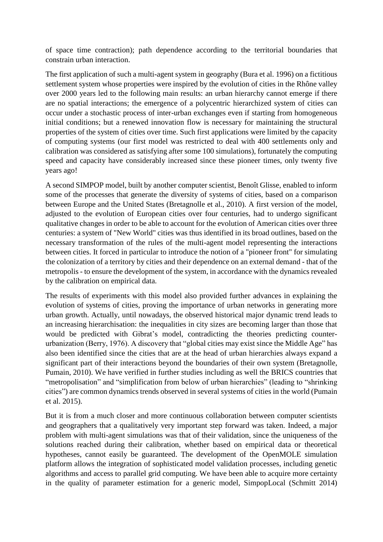of space time contraction); path dependence according to the territorial boundaries that constrain urban interaction.

The first application of such a multi-agent system in geography (Bura et al. 1996) on a fictitious settlement system whose properties were inspired by the evolution of cities in the Rhône valley over 2000 years led to the following main results: an urban hierarchy cannot emerge if there are no spatial interactions; the emergence of a polycentric hierarchized system of cities can occur under a stochastic process of inter-urban exchanges even if starting from homogeneous initial conditions; but a renewed innovation flow is necessary for maintaining the structural properties of the system of cities over time. Such first applications were limited by the capacity of computing systems (our first model was restricted to deal with 400 settlements only and calibration was considered as satisfying after some 100 simulations), fortunately the computing speed and capacity have considerably increased since these pioneer times, only twenty five years ago!

A second SIMPOP model, built by another computer scientist, Benoît Glisse, enabled to inform some of the processes that generate the diversity of systems of cities, based on a comparison between Europe and the United States (Bretagnolle et al., 2010). A first version of the model, adjusted to the evolution of European cities over four centuries, had to undergo significant qualitative changes in order to be able to account for the evolution of American cities over three centuries: a system of "New World" cities was thus identified in its broad outlines, based on the necessary transformation of the rules of the multi-agent model representing the interactions between cities. It forced in particular to introduce the notion of a "pioneer front" for simulating the colonization of a territory by cities and their dependence on an external demand - that of the metropolis - to ensure the development of the system, in accordance with the dynamics revealed by the calibration on empirical data.

The results of experiments with this model also provided further advances in explaining the evolution of systems of cities, proving the importance of urban networks in generating more urban growth. Actually, until nowadays, the observed historical major dynamic trend leads to an increasing hierarchisation: the inequalities in city sizes are becoming larger than those that would be predicted with Gibrat's model, contradicting the theories predicting counterurbanization (Berry, 1976). A discovery that "global cities may exist since the Middle Age" has also been identified since the cities that are at the head of urban hierarchies always expand a significant part of their interactions beyond the boundaries of their own system (Bretagnolle, Pumain, 2010). We have verified in further studies including as well the BRICS countries that "metropolisation" and "simplification from below of urban hierarchies" (leading to "shrinking cities") are common dynamics trends observed in several systems of cities in the world (Pumain et al. 2015).

But it is from a much closer and more continuous collaboration between computer scientists and geographers that a qualitatively very important step forward was taken. Indeed, a major problem with multi-agent simulations was that of their validation, since the uniqueness of the solutions reached during their calibration, whether based on empirical data or theoretical hypotheses, cannot easily be guaranteed. The development of the OpenMOLE simulation platform allows the integration of sophisticated model validation processes, including genetic algorithms and access to parallel grid computing. We have been able to acquire more certainty in the quality of parameter estimation for a generic model, SimpopLocal (Schmitt 2014)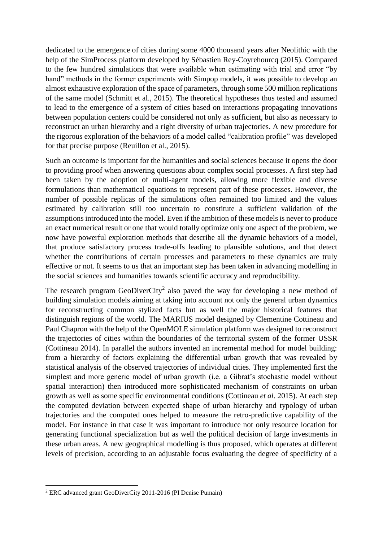dedicated to the emergence of cities during some 4000 thousand years after Neolithic with the help of the SimProcess platform developed by Sébastien Rey-Coyrehourcq (2015). Compared to the few hundred simulations that were available when estimating with trial and error "by hand" methods in the former experiments with Simpop models, it was possible to develop an almost exhaustive exploration of the space of parameters, through some 500 million replications of the same model (Schmitt et al., 2015). The theoretical hypotheses thus tested and assumed to lead to the emergence of a system of cities based on interactions propagating innovations between population centers could be considered not only as sufficient, but also as necessary to reconstruct an urban hierarchy and a right diversity of urban trajectories. A new procedure for the rigorous exploration of the behaviors of a model called "calibration profile" was developed for that precise purpose (Reuillon et al., 2015).

Such an outcome is important for the humanities and social sciences because it opens the door to providing proof when answering questions about complex social processes. A first step had been taken by the adoption of multi-agent models, allowing more flexible and diverse formulations than mathematical equations to represent part of these processes. However, the number of possible replicas of the simulations often remained too limited and the values estimated by calibration still too uncertain to constitute a sufficient validation of the assumptions introduced into the model. Even if the ambition of these models is never to produce an exact numerical result or one that would totally optimize only one aspect of the problem, we now have powerful exploration methods that describe all the dynamic behaviors of a model, that produce satisfactory process trade-offs leading to plausible solutions, and that detect whether the contributions of certain processes and parameters to these dynamics are truly effective or not. It seems to us that an important step has been taken in advancing modelling in the social sciences and humanities towards scientific accuracy and reproducibility.

The research program GeoDiverCity<sup>2</sup> also paved the way for developing a new method of building simulation models aiming at taking into account not only the general urban dynamics for reconstructing common stylized facts but as well the major historical features that distinguish regions of the world. The MARIUS model designed by Clementine Cottineau and Paul Chapron with the help of the OpenMOLE simulation platform was designed to reconstruct the trajectories of cities within the boundaries of the territorial system of the former USSR (Cottineau 2014). In parallel the authors invented an incremental method for model building: from a hierarchy of factors explaining the differential urban growth that was revealed by statistical analysis of the observed trajectories of individual cities. They implemented first the simplest and more generic model of urban growth (i.e. a Gibrat's stochastic model without spatial interaction) then introduced more sophisticated mechanism of constraints on urban growth as well as some specific environmental conditions (Cottineau *et al*. 2015). At each step the computed deviation between expected shape of urban hierarchy and typology of urban trajectories and the computed ones helped to measure the retro-predictive capability of the model. For instance in that case it was important to introduce not only resource location for generating functional specialization but as well the political decision of large investments in these urban areas. A new geographical modelling is thus proposed, which operates at different levels of precision, according to an adjustable focus evaluating the degree of specificity of a

**<sup>.</sup>** <sup>2</sup> ERC advanced grant GeoDiverCity 2011-2016 (PI Denise Pumain)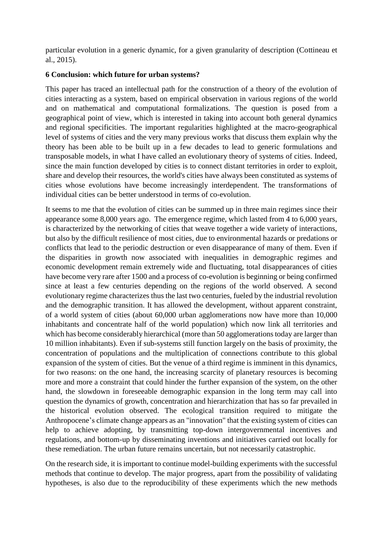particular evolution in a generic dynamic, for a given granularity of description (Cottineau et al., 2015).

#### **6 Conclusion: which future for urban systems?**

This paper has traced an intellectual path for the construction of a theory of the evolution of cities interacting as a system, based on empirical observation in various regions of the world and on mathematical and computational formalizations. The question is posed from a geographical point of view, which is interested in taking into account both general dynamics and regional specificities. The important regularities highlighted at the macro-geographical level of systems of cities and the very many previous works that discuss them explain why the theory has been able to be built up in a few decades to lead to generic formulations and transposable models, in what I have called an evolutionary theory of systems of cities. Indeed, since the main function developed by cities is to connect distant territories in order to exploit, share and develop their resources, the world's cities have always been constituted as systems of cities whose evolutions have become increasingly interdependent. The transformations of individual cities can be better understood in terms of co-evolution.

It seems to me that the evolution of cities can be summed up in three main regimes since their appearance some 8,000 years ago. The emergence regime, which lasted from 4 to 6,000 years, is characterized by the networking of cities that weave together a wide variety of interactions, but also by the difficult resilience of most cities, due to environmental hazards or predations or conflicts that lead to the periodic destruction or even disappearance of many of them. Even if the disparities in growth now associated with inequalities in demographic regimes and economic development remain extremely wide and fluctuating, total disappearances of cities have become very rare after 1500 and a process of co-evolution is beginning or being confirmed since at least a few centuries depending on the regions of the world observed. A second evolutionary regime characterizes thus the last two centuries, fueled by the industrial revolution and the demographic transition. It has allowed the development, without apparent constraint, of a world system of cities (about 60,000 urban agglomerations now have more than 10,000 inhabitants and concentrate half of the world population) which now link all territories and which has become considerably hierarchical (more than 50 agglomerations today are larger than 10 million inhabitants). Even if sub-systems still function largely on the basis of proximity, the concentration of populations and the multiplication of connections contribute to this global expansion of the system of cities. But the venue of a third regime is imminent in this dynamics, for two reasons: on the one hand, the increasing scarcity of planetary resources is becoming more and more a constraint that could hinder the further expansion of the system, on the other hand, the slowdown in foreseeable demographic expansion in the long term may call into question the dynamics of growth, concentration and hierarchization that has so far prevailed in the historical evolution observed. The ecological transition required to mitigate the Anthropocene's climate change appears as an "innovation" that the existing system of cities can help to achieve adopting, by transmitting top-down intergovernmental incentives and regulations, and bottom-up by disseminating inventions and initiatives carried out locally for these remediation. The urban future remains uncertain, but not necessarily catastrophic.

On the research side, it is important to continue model-building experiments with the successful methods that continue to develop. The major progress, apart from the possibility of validating hypotheses, is also due to the reproducibility of these experiments which the new methods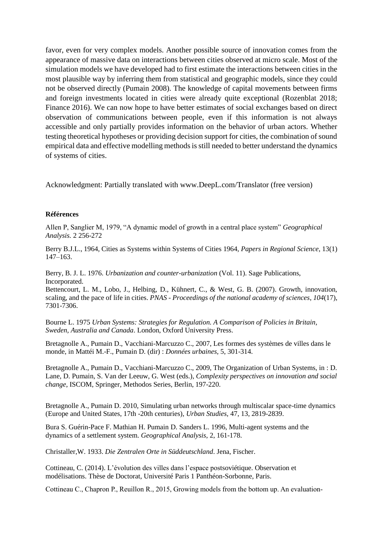favor, even for very complex models. Another possible source of innovation comes from the appearance of massive data on interactions between cities observed at micro scale. Most of the simulation models we have developed had to first estimate the interactions between cities in the most plausible way by inferring them from statistical and geographic models, since they could not be observed directly (Pumain 2008). The knowledge of capital movements between firms and foreign investments located in cities were already quite exceptional (Rozenblat 2018; Finance 2016). We can now hope to have better estimates of social exchanges based on direct observation of communications between people, even if this information is not always accessible and only partially provides information on the behavior of urban actors. Whether testing theoretical hypotheses or providing decision support for cities, the combination of sound empirical data and effective modelling methods is still needed to better understand the dynamics of systems of cities.

Acknowledgment: Partially translated with www.DeepL.com/Translator (free version)

#### **Références**

Allen P, Sanglier M, 1979, "A dynamic model of growth in a central place system" *Geographical Analysis.* 2 256-272

Berry B.J.L., 1964, Cities as Systems within Systems of Cities 1964, *Papers in Regional Science*, 13(1) 147–163.

Berry, B. J. L. 1976. *Urbanization and counter-urbanization* (Vol. 11). Sage Publications, Incorporated.

Bettencourt, L. M., Lobo, J., Helbing, D., Kühnert, C., & West, G. B. (2007). Growth, innovation, scaling, and the pace of life in cities. *PNAS - Proceedings of the national academy of sciences*, *104*(17), 7301-7306.

Bourne L. 1975 *Urban Systems: Strategies for Regulation. A Comparison of Policies in Britain, Sweden, Australia and Canada*. London, Oxford University Press.

Bretagnolle A., Pumain D., Vacchiani-Marcuzzo C., 2007, Les formes des systèmes de villes dans le monde, in Mattéi M.-F., Pumain D. (dir) : *Données urbaines,* 5, 301-314.

Bretagnolle A., Pumain D., Vacchiani-Marcuzzo C., 2009, The Organization of Urban Systems, in : D. Lane, D. Pumain, S. Van der Leeuw, G. West (eds.), *Complexity perspectives on innovation and social change*, ISCOM, Springer, Methodos Series, Berlin, 197-220.

Bretagnolle A., Pumain D. 2010, Simulating urban networks through multiscalar space-time dynamics (Europe and United States, 17th -20th centuries), *Urban Studies,* 47, 13, 2819-2839.

Bura S. Guérin-Pace F. Mathian H. Pumain D. Sanders L. 1996, Multi-agent systems and the dynamics of a settlement system. *Geographical Analysis*, 2, 161-178.

Christaller,W. 1933. *Die Zentralen Orte in Süddeutschland*. Jena, Fischer.

Cottineau, C. (2014). L'évolution des villes dans l'espace postsoviétique. Observation et modélisations. Thèse de Doctorat, Université Paris 1 Panthéon-Sorbonne, Paris.

Cottineau C., Chapron P., Reuillon R., 2015, Growing models from the bottom up. An evaluation-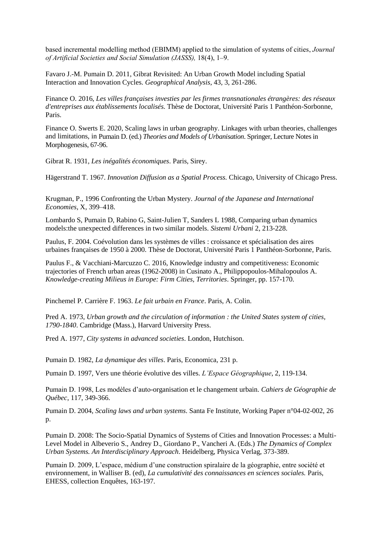based incremental modelling method (EBIMM) applied to the simulation of systems of cities, *Journal of Artificial Societies and Social Simulation (JASSS),* 18(4), 1–9.

Favaro J.-M. Pumain D. 2011, Gibrat Revisited: An Urban Growth Model including Spatial Interaction and Innovation Cycles. *Geographical Analysis*, 43, 3, 261-286.

Finance O. 2016, *Les villes françaises investies par les firmes transnationales étrangères: des réseaux d'entreprises aux établissements localisés.* Thèse de Doctorat, Université Paris 1 Panthéon-Sorbonne, Paris.

Finance O. Swerts E. 2020, Scaling laws in urban geography. Linkages with urban theories, challenges and limitations, in Pumain D. (ed.) *Theories and Models of Urbanisation*. Springer, Lecture Notes in Morphogenesis, 67-96.

Gibrat R. 1931, *Les inégalités économiques*. Paris, Sirey.

Hägerstrand T. 1967. *Innovation Diffusion as a Spatial Process.* Chicago, University of Chicago Press.

Krugman, P., 1996 Confronting the Urban Mystery. *Journal of the Japanese and International Economies,* X, 399–418.

Lombardo S, Pumain D, Rabino G, Saint-Julien T, Sanders L 1988, Comparing urban dynamics models:the unexpected differences in two similar models. *Sistemi Urbani* 2, 213-228.

Paulus, F. 2004. Coévolution dans les systèmes de villes : croissance et spécialisation des aires urbaines françaises de 1950 à 2000. Thèse de Doctorat, Université Paris 1 Panthéon-Sorbonne, Paris.

Paulus F., & Vacchiani-Marcuzzo C. 2016, Knowledge industry and competitiveness: Economic trajectories of French urban areas (1962-2008) in Cusinato A., Philippopoulos-Mihalopoulos A. *Knowledge-creating Milieus in Europe: Firm Cities, Territories*. Springer, pp. 157-170.

Pinchemel P. Carrière F. 1963. *Le fait urbain en France*. Paris, A. Colin.

Pred A. 1973, *Urban growth and the circulation of information : the United States system of cities, 1790-1840*. Cambridge (Mass.), Harvard University Press.

Pred A. 1977, *City systems in advanced societies*. London, Hutchison.

Pumain D. 1982, *La dynamique des villes*. Paris, Economica, 231 p.

Pumain D. 1997, Vers une théorie évolutive des villes. *L'Espace Géographique*, 2, 119-134.

Pumain D. 1998, Les modèles d'auto-organisation et le changement urbain*. Cahiers de Géographie de Québec*, 117, 349-366.

Pumain D. 2004, *Scaling laws and urban systems*. Santa Fe Institute, Working Paper n°04-02-002, 26 p.

Pumain D. 2008: The Socio-Spatial Dynamics of Systems of Cities and Innovation Processes: a Multi-Level Model in Albeverio S., Andrey D., Giordano P., Vancheri A. (Eds.) *The Dynamics of Complex Urban Systems. An Interdisciplinary Approach*. Heidelberg, Physica Verlag, 373-389.

Pumain D. 2009, L'espace, médium d'une construction spiralaire de la géographie, entre société et environnement, in Walliser B. (ed), *La cumulativité des connaissances en sciences sociales.* Paris, EHESS, collection Enquêtes, 163-197.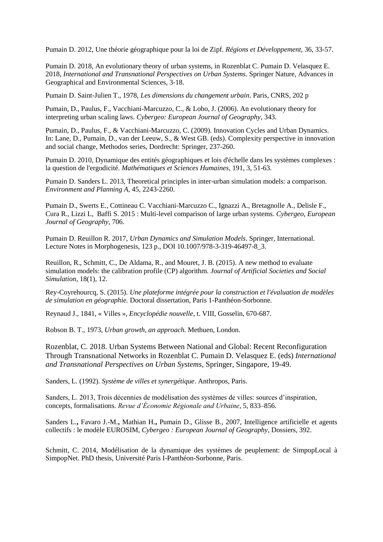Pumain D. 2012, Une théorie géographique pour la loi de Zipf. *Régions et Développement*, 36, 33-57.

Pumain D. 2018, An evolutionary theory of urban systems, in Rozenblat C. Pumain D. Velasquez E. 2018, *International and Transnational Perspectives on Urban Systems.* Springer Nature, Advances in Geographical and Environmental Sciences, 3-18.

Pumain D. Saint-Julien T., 1978, *Les dimensions du changement urbain*. Paris, CNRS, 202 p

Pumain, D., Paulus, F., Vacchiani-Marcuzzo, C., & Lobo, J. (2006). An evolutionary theory for interpreting urban scaling laws. *Cybergeo: European Journal of Geography*, 343.

Pumain, D., Paulus, F., & Vacchiani-Marcuzzo, C. (2009). Innovation Cycles and Urban Dynamics. In: Lane, D., Pumain, D., van der Leeuw, S., & West GB. (eds). Complexity perspective in innovation and social change, Methodos series, Dordrecht: Springer, 237-260.

Pumain D. 2010, Dynamique des entités géographiques et lois d'échelle dans les systèmes complexes : la question de l'ergodicité. *Mathématiques et Sciences Humaines*, 191, 3, 51-63.

Pumain D. Sanders L. 2013, Theoretical principles in inter-urban simulation models: a comparison. *Environment and Planning A*, 45, 2243-2260.

Pumain D., Swerts E., Cottineau C. Vacchiani-Marcuzzo C., Ignazzi A., Bretagnolle A., Delisle F., Cura R., Lizzi L, Baffi S. 2015 : Multi-level comparison of large urban systems. *Cybergeo, European Journal of Geography*, 706.

Pumain D. Reuillon R. 2017, *Urban Dynamics and Simulation Models*. Springer, International. Lecture Notes in Morphogenesis, 123 p., DOI 10.1007/978-3-319-46497-8\_3.

Reuillon, R., Schmitt, C., De Aldama, R., and Mouret, J. B. (2015). A new method to evaluate simulation models: the calibration profile (CP) algorithm. *Journal of Artificial Societies and Social Simulation*, 18(1), 12.

Rey-Coyrehourcq, S. (2015). *Une plateforme intégrée pour la construction et l'évaluation de modèles de simulation en géographie.* Doctoral dissertation, Paris 1-Panthéon-Sorbonne.

Reynaud J., 1841, « Villes », *Encyclopédie nouvelle*, t. VIII, Gosselin, 670-687.

Robson B. T., 1973, *Urban growth, an approach.* Methuen, London.

Rozenblat, C. 2018. Urban Systems Between National and Global: Recent Reconfiguration Through Transnational Networks in Rozenblat C. Pumain D. Velasquez E. (eds) *International and Transnational Perspectives on Urban Systems*, Springer, Singapore, 19-49.

Sanders, L. (1992). *Système de villes et synergétique*. Anthropos, Paris.

Sanders, L. 2013, Trois décennies de modélisation des systèmes de villes: sources d'inspiration, concepts, formalisations. *Revue d'Économie Régionale and Urbaine*, 5, 833–856.

Sanders L.**,** Favaro J.-M.**,** Mathian H.**,** Pumain D., Glisse B., 2007, Intelligence artificielle et agents collectifs : le modèle EUROSIM, *Cybergeo : European Journal of Geography*, Dossiers, 392.

Schmitt, C. 2014, Modélisation de la dynamique des systèmes de peuplement: de SimpopLocal à SimpopNet. PhD thesis, Université Paris I-Panthéon-Sorbonne, Paris.